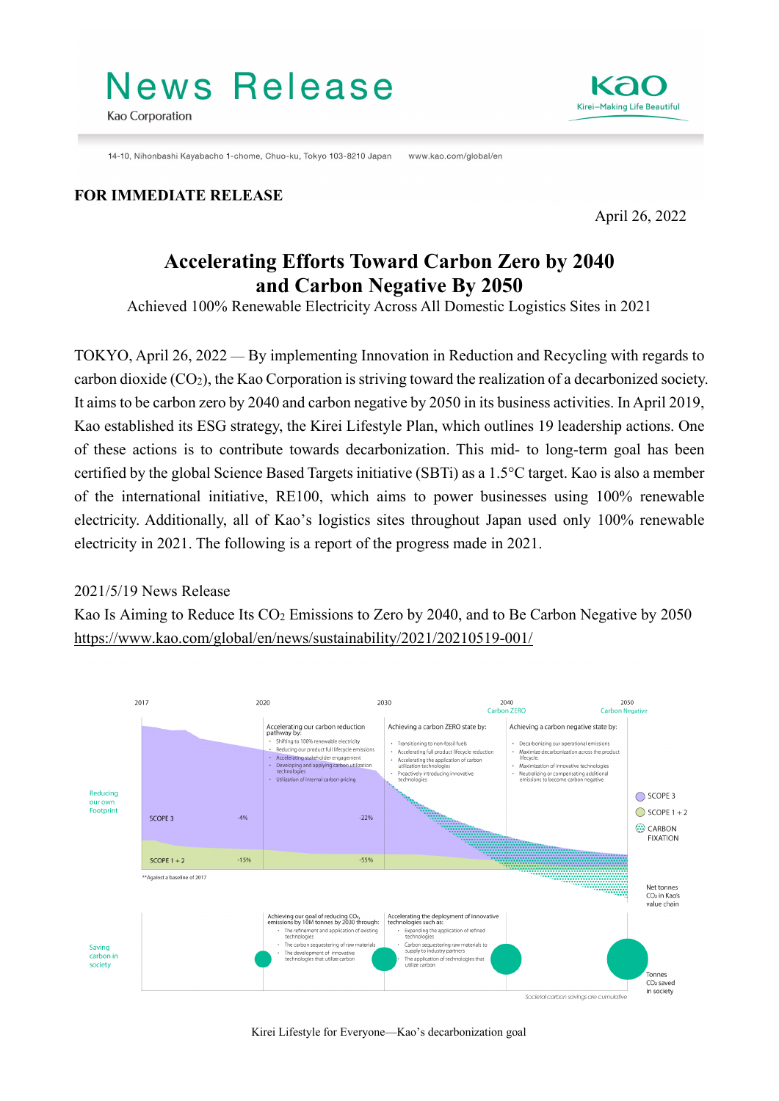# **News Release**



14-10 Nihonbashi Kayabacho 1-chome, Chuo-ku, Tokyo 103-8210 Japan www.kao.com/global/en

#### **FOR IMMEDIATE RELEASE**

April 26, 2022

Kirei-Making Life Beautiful

# **Accelerating Efforts Toward Carbon Zero by 2040 and Carbon Negative By 2050**

Achieved 100% Renewable Electricity Across All Domestic Logistics Sites in 2021

TOKYO, April 26, 2022 — By implementing Innovation in Reduction and Recycling with regards to carbon dioxide (CO2), the Kao Corporation is striving toward the realization of a decarbonized society. It aims to be carbon zero by 2040 and carbon negative by 2050 in its business activities. In April 2019, Kao established its ESG strategy, the Kirei Lifestyle Plan, which outlines 19 leadership actions. One of these actions is to contribute towards decarbonization. This mid- to long-term goal has been certified by the global Science Based Targets initiative (SBTi) as a 1.5°C target. Kao is also a member of the international initiative, RE100, which aims to power businesses using 100% renewable electricity. Additionally, all of Kao's logistics sites throughout Japan used only 100% renewable electricity in 2021. The following is a report of the progress made in 2021.

#### 2021/5/19 News Release

Kao Is Aiming to Reduce Its CO2 Emissions to Zero by 2040, and to Be Carbon Negative by 2050 <https://www.kao.com/global/en/news/sustainability/2021/20210519-001/>



Kirei Lifestyle for Everyone—Kao's decarbonization goal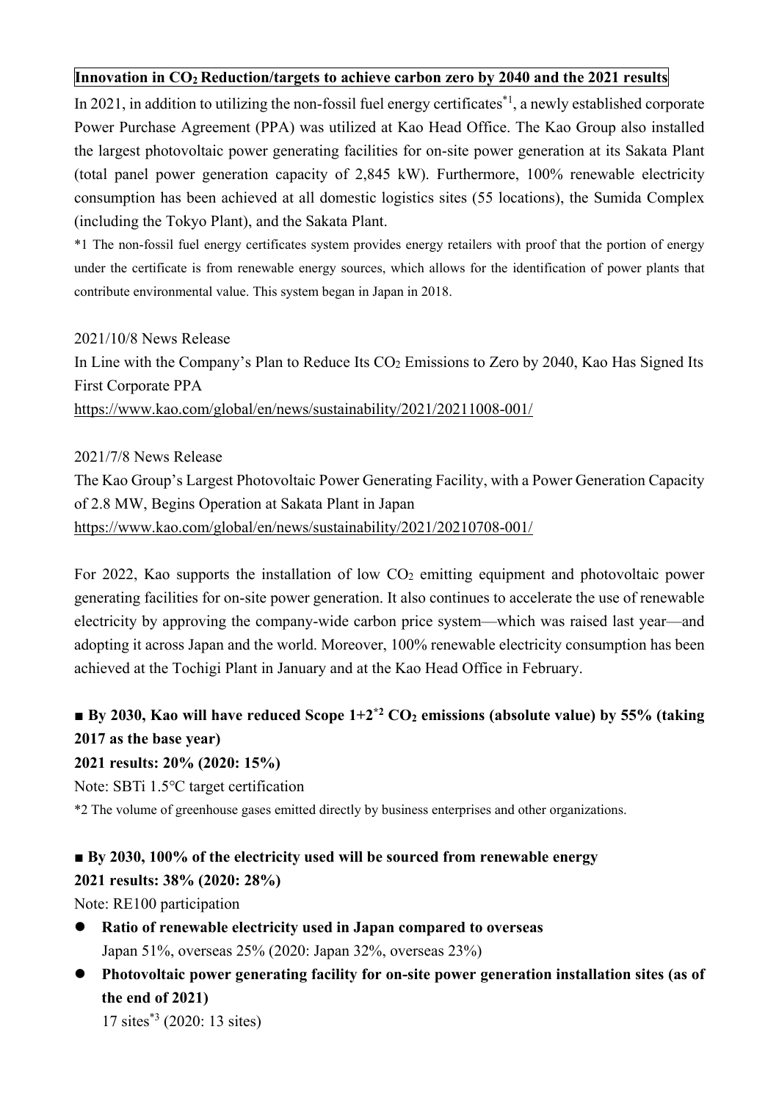#### **Innovation in CO2 Reduction/targets to achieve carbon zero by 2040 and the 2021 results**

In 2021, in addition to utilizing the non-fossil fuel energy certificates<sup>\*1</sup>, a newly established corporate Power Purchase Agreement (PPA) was utilized at Kao Head Office. The Kao Group also installed the largest photovoltaic power generating facilities for on-site power generation at its Sakata Plant (total panel power generation capacity of 2,845 kW). Furthermore, 100% renewable electricity consumption has been achieved at all domestic logistics sites (55 locations), the Sumida Complex (including the Tokyo Plant), and the Sakata Plant.

\*1 The non-fossil fuel energy certificates system provides energy retailers with proof that the portion of energy under the certificate is from renewable energy sources, which allows for the identification of power plants that contribute environmental value. This system began in Japan in 2018.

#### 2021/10/8 News Release

In Line with the Company's Plan to Reduce Its CO<sub>2</sub> Emissions to Zero by 2040, Kao Has Signed Its First Corporate PPA

<https://www.kao.com/global/en/news/sustainability/2021/20211008-001/>

2021/7/8 News Release The Kao Group's Largest Photovoltaic Power Generating Facility, with a Power Generation Capacity of 2.8 MW, Begins Operation at Sakata Plant in Japan <https://www.kao.com/global/en/news/sustainability/2021/20210708-001/>

For 2022, Kao supports the installation of low CO<sub>2</sub> emitting equipment and photovoltaic power generating facilities for on-site power generation. It also continues to accelerate the use of renewable electricity by approving the company-wide carbon price system—which was raised last year—and adopting it across Japan and the world. Moreover, 100% renewable electricity consumption has been achieved at the Tochigi Plant in January and at the Kao Head Office in February.

# ■ **By 2030, Kao will have reduced Scope 1+2<sup>\*2</sup> CO<sub>2</sub> emissions (absolute value) by 55% (taking 2017 as the base year)**

#### **2021 results: 20% (2020: 15%)**

Note: SBTi 1.5℃ target certification

\*2 The volume of greenhouse gases emitted directly by business enterprises and other organizations.

#### **■ By 2030, 100% of the electricity used will be sourced from renewable energy**

#### **2021 results: 38% (2020: 28%)**

Note: RE100 participation

- **Ratio of renewable electricity used in Japan compared to overseas** Japan 51%, overseas 25% (2020: Japan 32%, overseas 23%)
- **Photovoltaic power generating facility for on-site power generation installation sites (as of the end of 2021)**

17 sites\*3 (2020: 13 sites)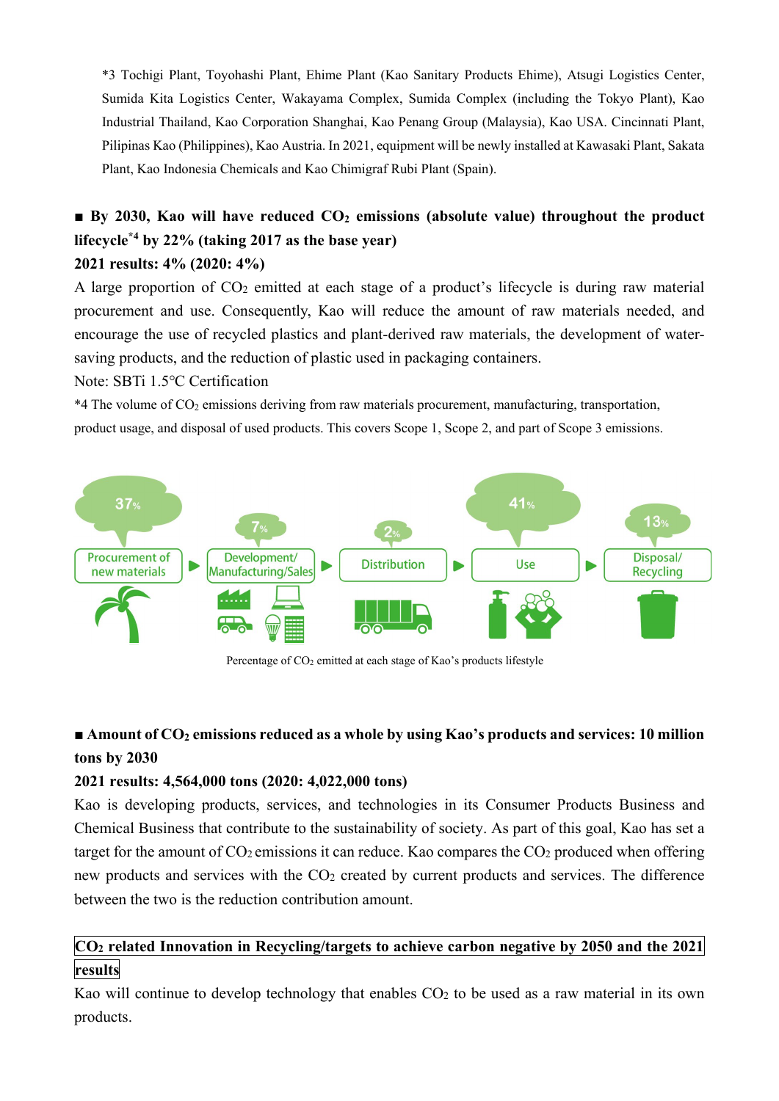\*3 Tochigi Plant, Toyohashi Plant, Ehime Plant (Kao Sanitary Products Ehime), Atsugi Logistics Center, Sumida Kita Logistics Center, Wakayama Complex, Sumida Complex (including the Tokyo Plant), Kao Industrial Thailand, Kao Corporation Shanghai, Kao Penang Group (Malaysia), Kao USA. Cincinnati Plant, Pilipinas Kao (Philippines), Kao Austria. In 2021, equipment will be newly installed at Kawasaki Plant, Sakata Plant, Kao Indonesia Chemicals and Kao Chimigraf Rubi Plant (Spain).

## ■ **By 2030, Kao will have reduced CO<sub>2</sub> emissions (absolute value) throughout the product lifecycle\*4 by 22% (taking 2017 as the base year) 2021 results: 4% (2020: 4%)**

A large proportion of  $CO<sub>2</sub>$  emitted at each stage of a product's lifecycle is during raw material procurement and use. Consequently, Kao will reduce the amount of raw materials needed, and encourage the use of recycled plastics and plant-derived raw materials, the development of watersaving products, and the reduction of plastic used in packaging containers.

Note: SBTi 1.5℃ Certification

\*4 The volume of CO2 emissions deriving from raw materials procurement, manufacturing, transportation, product usage, and disposal of used products. This covers Scope 1, Scope 2, and part of Scope 3 emissions.



Percentage of CO<sub>2</sub> emitted at each stage of Kao's products lifestyle

## ■ **Amount of CO<sub>2</sub> emissions reduced as a whole by using Kao's products and services: 10 million tons by 2030**

#### **2021 results: 4,564,000 tons (2020: 4,022,000 tons)**

Kao is developing products, services, and technologies in its Consumer Products Business and Chemical Business that contribute to the sustainability of society. As part of this goal, Kao has set a target for the amount of  $CO<sub>2</sub>$  emissions it can reduce. Kao compares the  $CO<sub>2</sub>$  produced when offering new products and services with the CO<sub>2</sub> created by current products and services. The difference between the two is the reduction contribution amount.

#### **CO2 related Innovation in Recycling/targets to achieve carbon negative by 2050 and the 2021 results**

Kao will continue to develop technology that enables  $CO<sub>2</sub>$  to be used as a raw material in its own products.